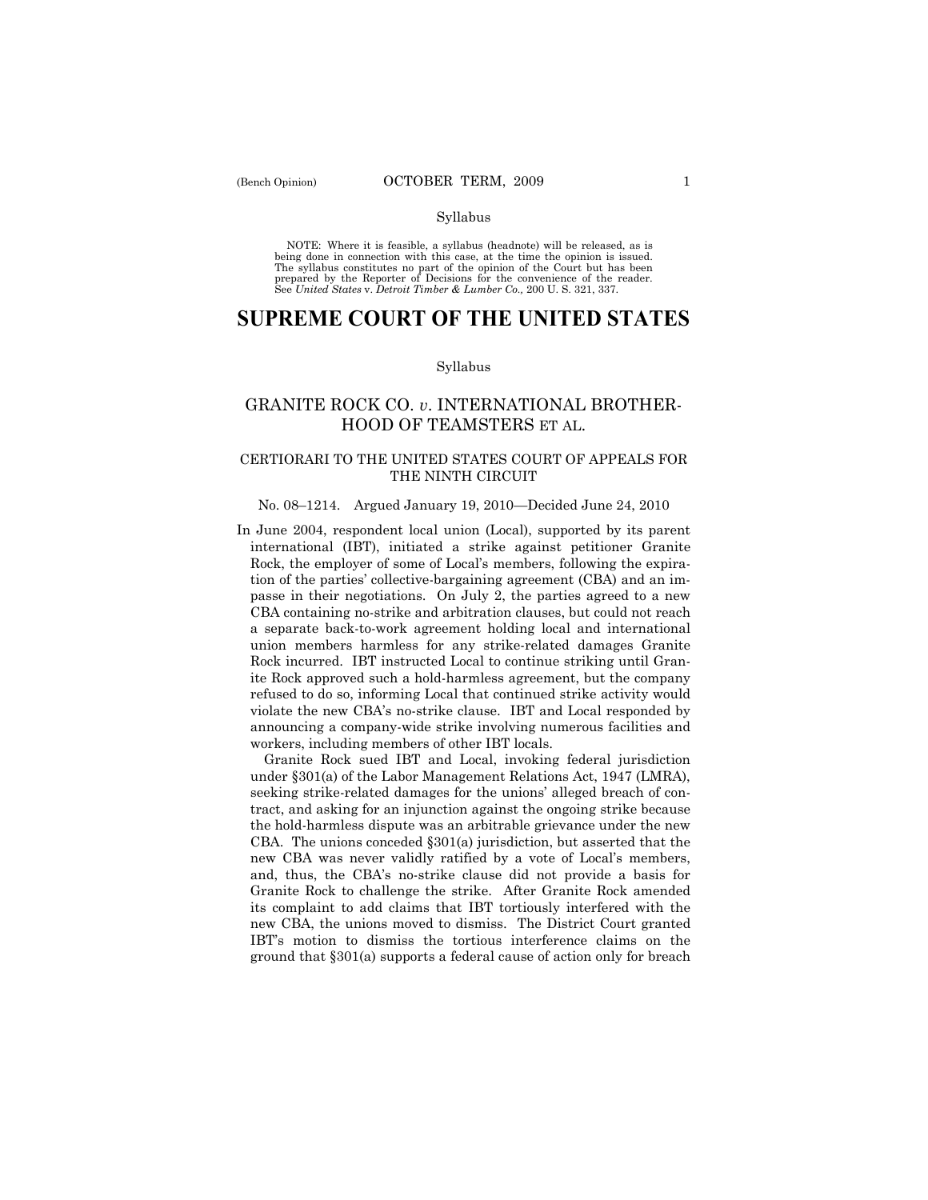NOTE: Where it is feasible, a syllabus (headnote) will be released, as is being done in connection with this case, at the time the opinion is issued. The syllabus constitutes no part of the opinion of the Court but has been<br>prepared by the Reporter of Decisions for the convenience of the reader.<br>See United States v. Detroit Timber & Lumber Co., 200 U. S. 321, 337.

# **SUPREME COURT OF THE UNITED STATES**

#### Syllabus

# GRANITE ROCK CO. *v*. INTERNATIONAL BROTHER-HOOD OF TEAMSTERS ET AL.

## CERTIORARI TO THE UNITED STATES COURT OF APPEALS FOR THE NINTH CIRCUIT

#### No. 08–1214. Argued January 19, 2010—Decided June 24, 2010

In June 2004, respondent local union (Local), supported by its parent international (IBT), initiated a strike against petitioner Granite Rock, the employer of some of Local's members, following the expiration of the parties' collective-bargaining agreement (CBA) and an impasse in their negotiations. On July 2, the parties agreed to a new CBA containing no-strike and arbitration clauses, but could not reach a separate back-to-work agreement holding local and international union members harmless for any strike-related damages Granite Rock incurred. IBT instructed Local to continue striking until Granite Rock approved such a hold-harmless agreement, but the company refused to do so, informing Local that continued strike activity would violate the new CBA's no-strike clause. IBT and Local responded by announcing a company-wide strike involving numerous facilities and workers, including members of other IBT locals.

 Granite Rock sued IBT and Local, invoking federal jurisdiction under §301(a) of the Labor Management Relations Act, 1947 (LMRA), seeking strike-related damages for the unions' alleged breach of contract, and asking for an injunction against the ongoing strike because the hold-harmless dispute was an arbitrable grievance under the new CBA. The unions conceded §301(a) jurisdiction, but asserted that the new CBA was never validly ratified by a vote of Local's members, and, thus, the CBA's no-strike clause did not provide a basis for Granite Rock to challenge the strike. After Granite Rock amended its complaint to add claims that IBT tortiously interfered with the new CBA, the unions moved to dismiss. The District Court granted IBT's motion to dismiss the tortious interference claims on the ground that §301(a) supports a federal cause of action only for breach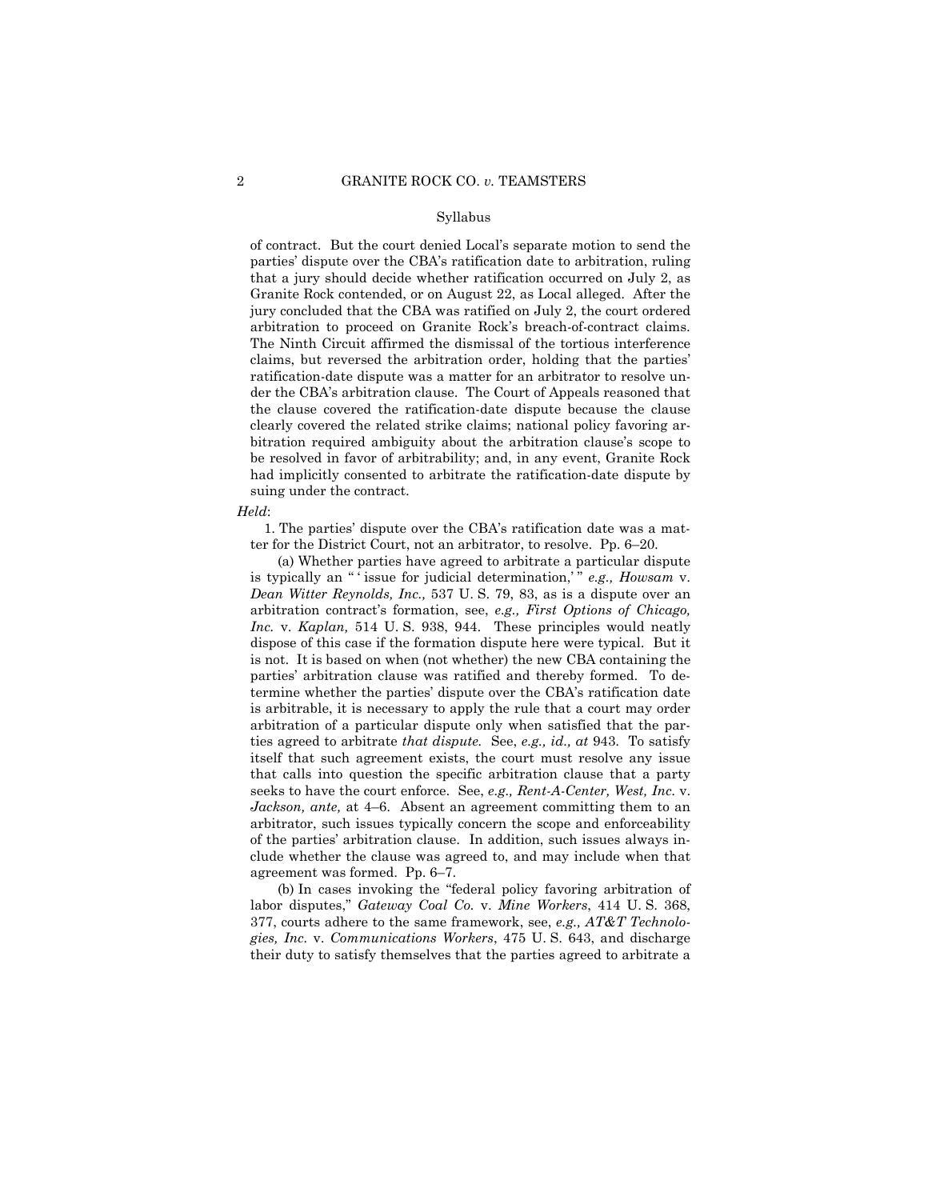of contract. But the court denied Local's separate motion to send the parties' dispute over the CBA's ratification date to arbitration, ruling that a jury should decide whether ratification occurred on July 2, as Granite Rock contended, or on August 22, as Local alleged. After the jury concluded that the CBA was ratified on July 2, the court ordered arbitration to proceed on Granite Rock's breach-of-contract claims. The Ninth Circuit affirmed the dismissal of the tortious interference claims, but reversed the arbitration order, holding that the parties' ratification-date dispute was a matter for an arbitrator to resolve under the CBA's arbitration clause. The Court of Appeals reasoned that the clause covered the ratification-date dispute because the clause clearly covered the related strike claims; national policy favoring arbitration required ambiguity about the arbitration clause's scope to be resolved in favor of arbitrability; and, in any event, Granite Rock had implicitly consented to arbitrate the ratification-date dispute by suing under the contract.

#### *Held*:

 1. The parties' dispute over the CBA's ratification date was a matter for the District Court, not an arbitrator, to resolve. Pp. 6–20.

 (a) Whether parties have agreed to arbitrate a particular dispute is typically an " ' issue for judicial determination,' " *e.g., Howsam* v. *Dean Witter Reynolds, Inc.,* 537 U. S. 79, 83, as is a dispute over an arbitration contract's formation, see, *e.g., First Options of Chicago, Inc.* v. *Kaplan,* 514 U. S. 938, 944. These principles would neatly dispose of this case if the formation dispute here were typical. But it is not. It is based on when (not whether) the new CBA containing the parties' arbitration clause was ratified and thereby formed. To determine whether the parties' dispute over the CBA's ratification date is arbitrable, it is necessary to apply the rule that a court may order arbitration of a particular dispute only when satisfied that the parties agreed to arbitrate *that dispute.* See, *e.g., id., at* 943. To satisfy itself that such agreement exists, the court must resolve any issue that calls into question the specific arbitration clause that a party seeks to have the court enforce. See, *e.g., Rent-A-Center, West, Inc*. v. *Jackson, ante,* at 4–6. Absent an agreement committing them to an arbitrator, such issues typically concern the scope and enforceability of the parties' arbitration clause. In addition, such issues always include whether the clause was agreed to, and may include when that agreement was formed. Pp. 6–7.

 (b) In cases invoking the "federal policy favoring arbitration of labor disputes," *Gateway Coal Co.* v. *Mine Workers*, 414 U. S. 368, 377, courts adhere to the same framework, see, *e.g., AT&T Technologies, Inc.* v. *Communications Workers*, 475 U. S. 643, and discharge their duty to satisfy themselves that the parties agreed to arbitrate a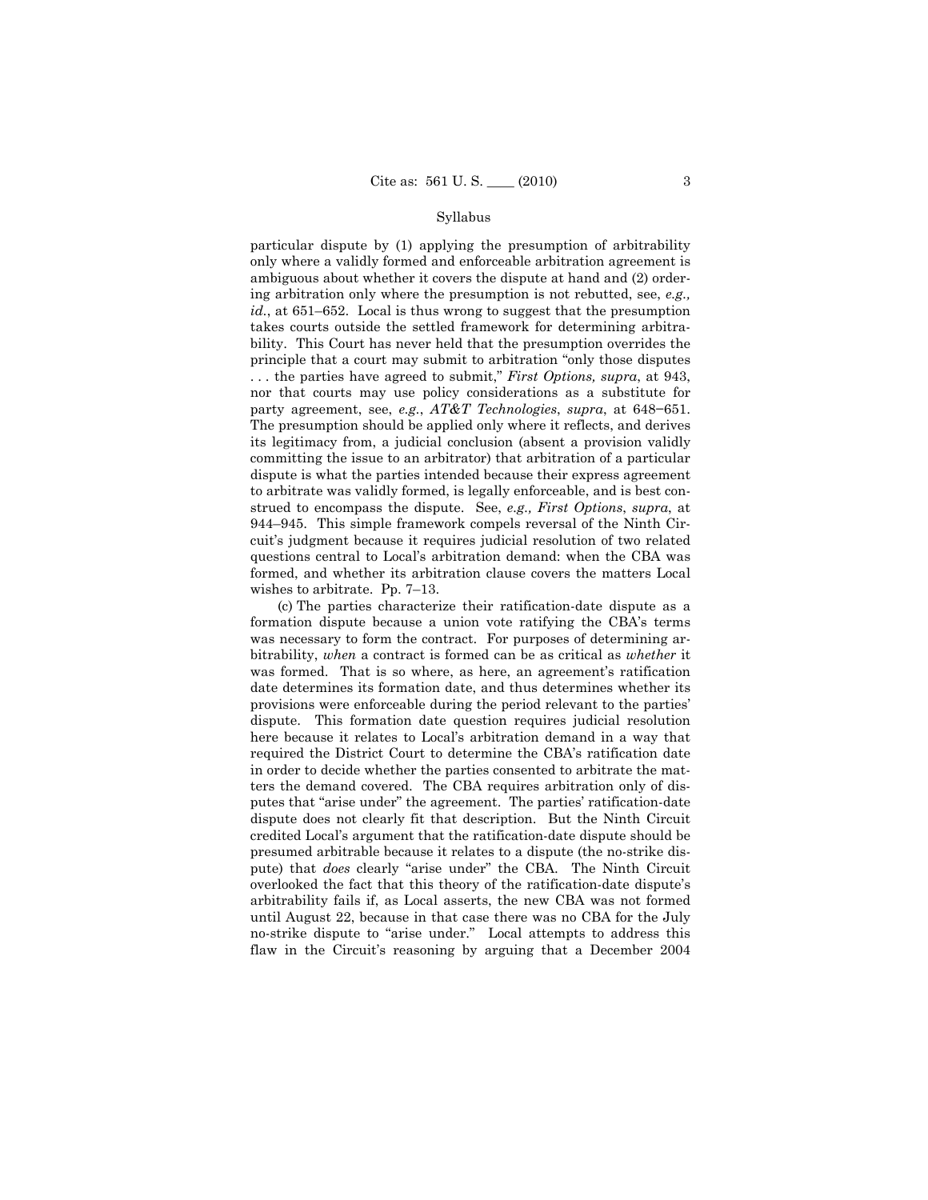particular dispute by (1) applying the presumption of arbitrability only where a validly formed and enforceable arbitration agreement is ambiguous about whether it covers the dispute at hand and (2) ordering arbitration only where the presumption is not rebutted, see, *e.g., id.*, at 651–652. Local is thus wrong to suggest that the presumption takes courts outside the settled framework for determining arbitrability. This Court has never held that the presumption overrides the principle that a court may submit to arbitration "only those disputes . . . the parties have agreed to submit," *First Options, supra*, at 943, nor that courts may use policy considerations as a substitute for party agreement, see, *e.g.*, *AT&T Technologies*, *supra*, at 648−651. The presumption should be applied only where it reflects, and derives its legitimacy from, a judicial conclusion (absent a provision validly committing the issue to an arbitrator) that arbitration of a particular dispute is what the parties intended because their express agreement to arbitrate was validly formed, is legally enforceable, and is best construed to encompass the dispute. See, *e.g., First Options*, *supra*, at 944–945. This simple framework compels reversal of the Ninth Circuit's judgment because it requires judicial resolution of two related questions central to Local's arbitration demand: when the CBA was formed, and whether its arbitration clause covers the matters Local wishes to arbitrate. Pp. 7–13.

 (c) The parties characterize their ratification-date dispute as a formation dispute because a union vote ratifying the CBA's terms was necessary to form the contract. For purposes of determining arbitrability, *when* a contract is formed can be as critical as *whether* it was formed. That is so where, as here, an agreement's ratification date determines its formation date, and thus determines whether its provisions were enforceable during the period relevant to the parties' dispute. This formation date question requires judicial resolution here because it relates to Local's arbitration demand in a way that required the District Court to determine the CBA's ratification date in order to decide whether the parties consented to arbitrate the matters the demand covered. The CBA requires arbitration only of disputes that "arise under" the agreement. The parties' ratification-date dispute does not clearly fit that description. But the Ninth Circuit credited Local's argument that the ratification-date dispute should be presumed arbitrable because it relates to a dispute (the no-strike dispute) that *does* clearly "arise under" the CBA. The Ninth Circuit overlooked the fact that this theory of the ratification-date dispute's arbitrability fails if, as Local asserts, the new CBA was not formed until August 22, because in that case there was no CBA for the July no-strike dispute to "arise under." Local attempts to address this flaw in the Circuit's reasoning by arguing that a December 2004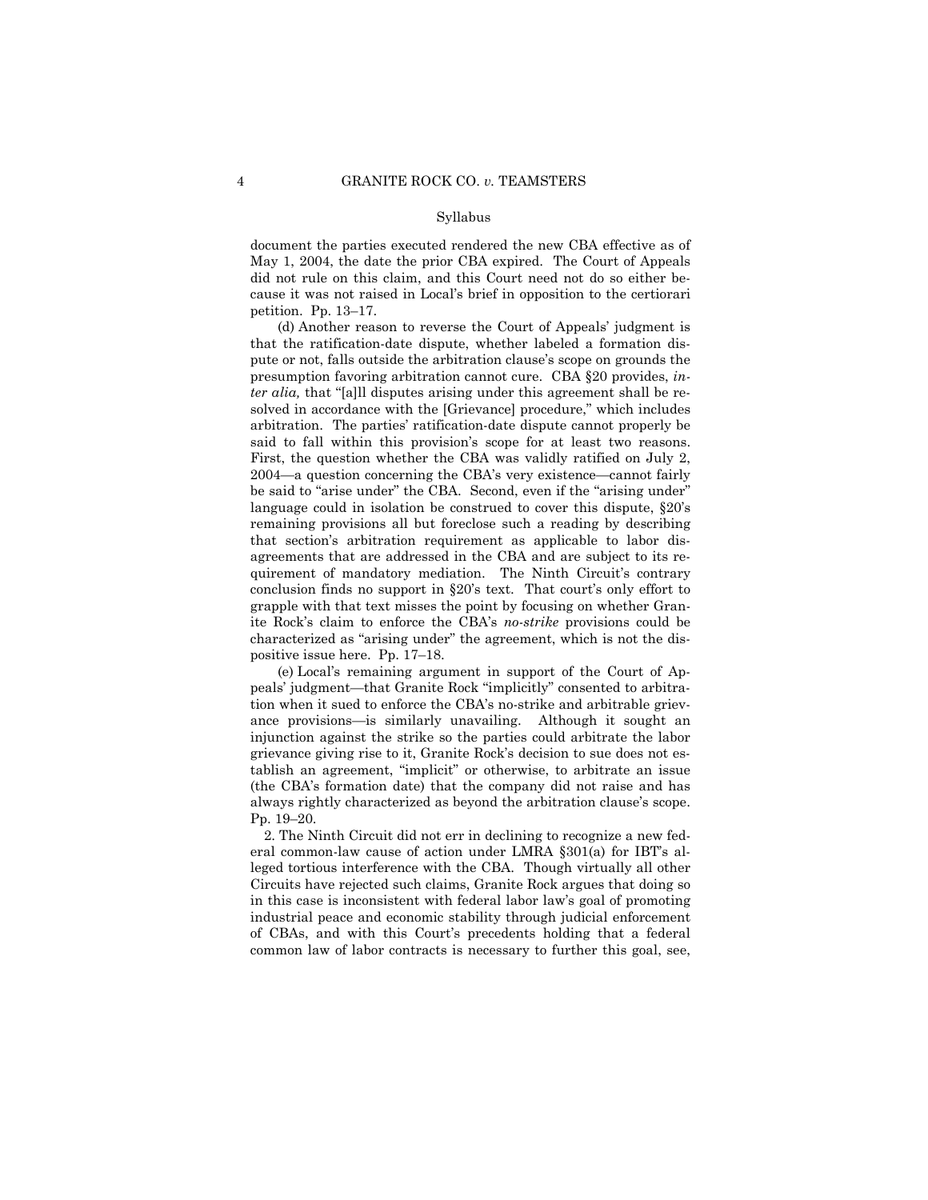document the parties executed rendered the new CBA effective as of May 1, 2004, the date the prior CBA expired. The Court of Appeals did not rule on this claim, and this Court need not do so either because it was not raised in Local's brief in opposition to the certiorari petition. Pp. 13–17.

 (d) Another reason to reverse the Court of Appeals' judgment is that the ratification-date dispute, whether labeled a formation dispute or not, falls outside the arbitration clause's scope on grounds the presumption favoring arbitration cannot cure. CBA §20 provides, *inter alia,* that "[a]ll disputes arising under this agreement shall be resolved in accordance with the [Grievance] procedure," which includes arbitration. The parties' ratification-date dispute cannot properly be said to fall within this provision's scope for at least two reasons. First, the question whether the CBA was validly ratified on July 2, 2004—a question concerning the CBA's very existence—cannot fairly be said to "arise under" the CBA. Second, even if the "arising under" language could in isolation be construed to cover this dispute, §20's remaining provisions all but foreclose such a reading by describing that section's arbitration requirement as applicable to labor disagreements that are addressed in the CBA and are subject to its requirement of mandatory mediation. The Ninth Circuit's contrary conclusion finds no support in §20's text. That court's only effort to grapple with that text misses the point by focusing on whether Granite Rock's claim to enforce the CBA's *no-strike* provisions could be characterized as "arising under" the agreement, which is not the dispositive issue here. Pp. 17–18.

 (e) Local's remaining argument in support of the Court of Appeals' judgment—that Granite Rock "implicitly" consented to arbitration when it sued to enforce the CBA's no-strike and arbitrable grievance provisions—is similarly unavailing. Although it sought an injunction against the strike so the parties could arbitrate the labor grievance giving rise to it, Granite Rock's decision to sue does not establish an agreement, "implicit" or otherwise, to arbitrate an issue (the CBA's formation date) that the company did not raise and has always rightly characterized as beyond the arbitration clause's scope. Pp. 19–20.

 2. The Ninth Circuit did not err in declining to recognize a new federal common-law cause of action under LMRA §301(a) for IBT's alleged tortious interference with the CBA. Though virtually all other Circuits have rejected such claims, Granite Rock argues that doing so in this case is inconsistent with federal labor law's goal of promoting industrial peace and economic stability through judicial enforcement of CBAs, and with this Court's precedents holding that a federal common law of labor contracts is necessary to further this goal, see,